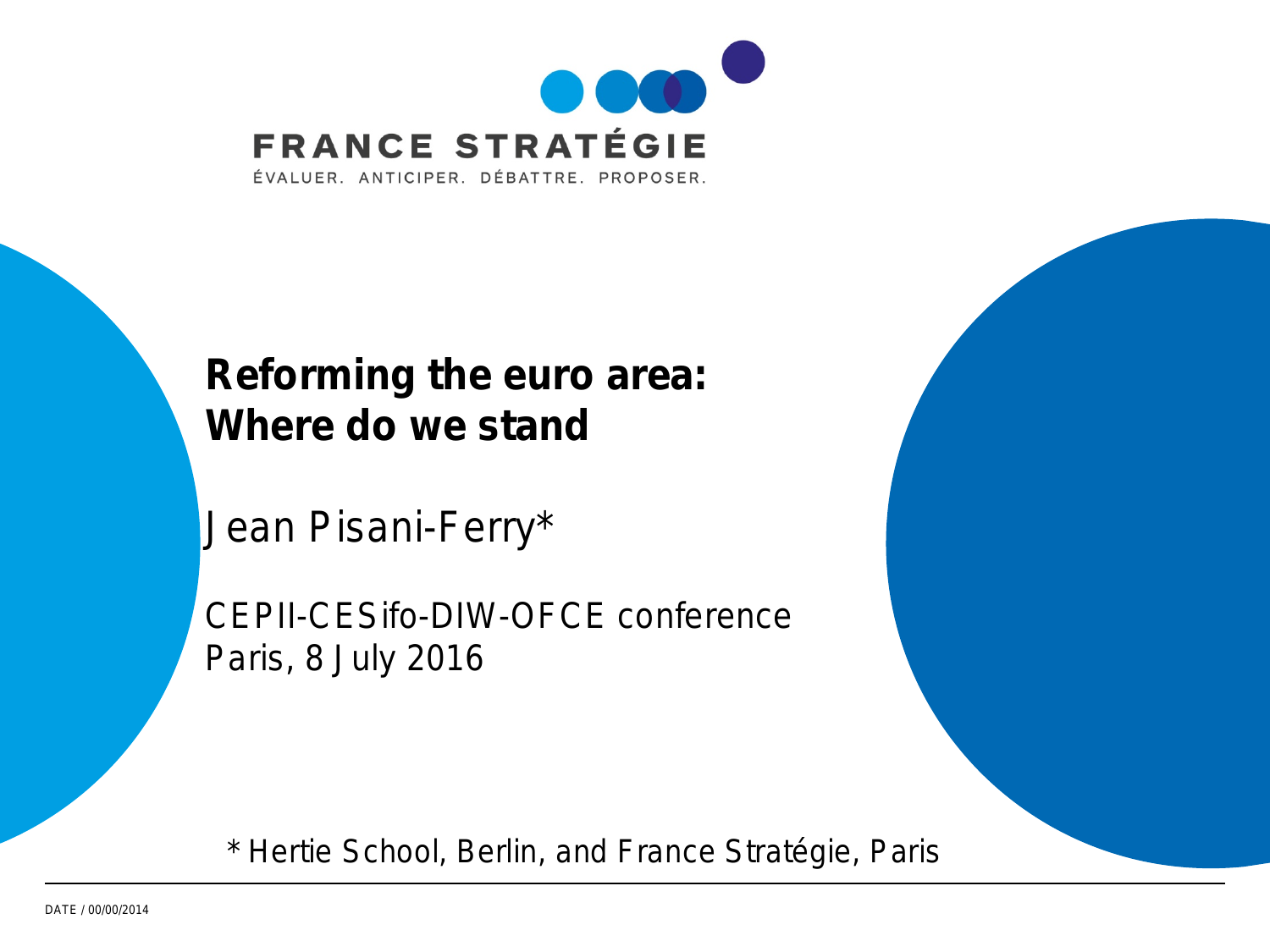

### **Reforming the euro area: Where do we stand**

Jean Pisani-Ferry\*

CEPII-CESifo-DIW-OFCE conference Paris, 8 July 2016

\* Hertie School, Berlin, and France Stratégie, Paris

DATE / 00/00/2014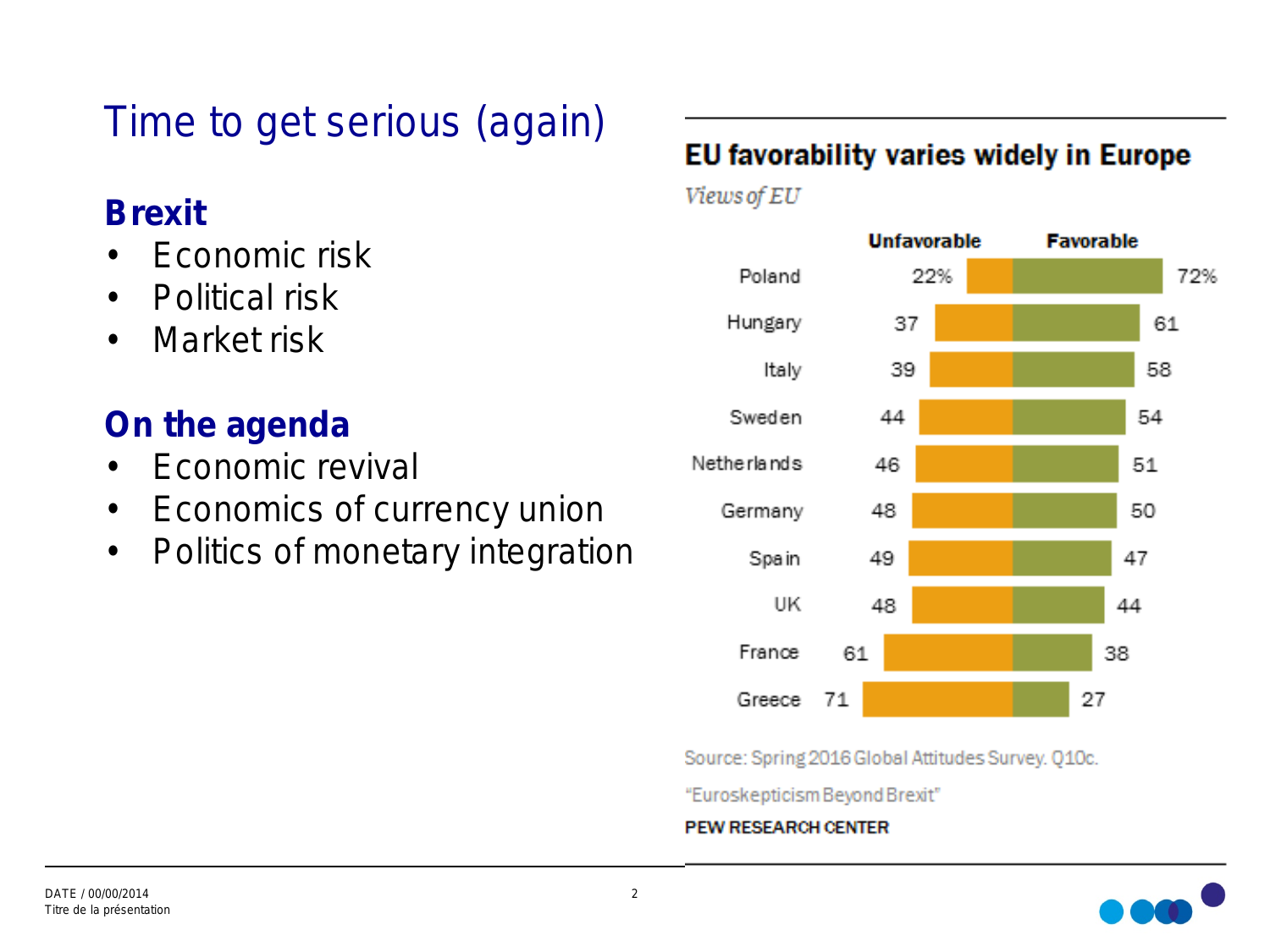### Time to get serious (again)

### **Brexit**

- Economic risk
- Political risk
- Market risk

### **On the agenda**

- Fconomic revival
- Economics of currency union
- Politics of monetary integration

#### EU favorability varies widely in Europe

Views of EU



Source: Spring 2016 Global Attitudes Survey. Q10c.

"Euroskepticism Beyond Brexit"

#### **PEW RESEARCH CENTER**

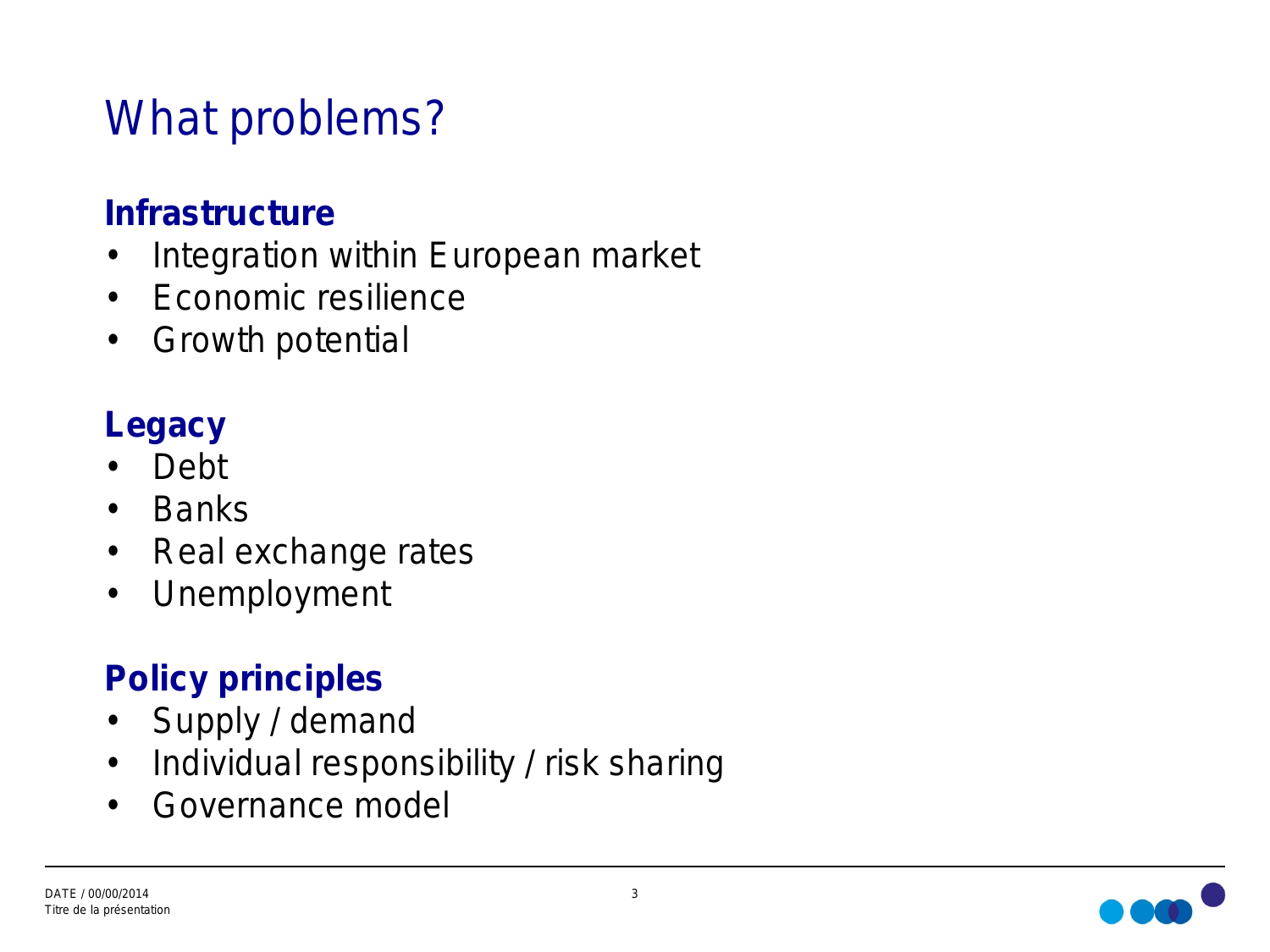# What problems?

### **Infrastructure**

- Integration within European market
- Economic resilience
- Growth potential

### **Legacy**

- Debt
- Banks
- Real exchange rates
- Unemployment

### **Policy principles**

- Supply / demand
- Individual responsibility / risk sharing
- Governance model

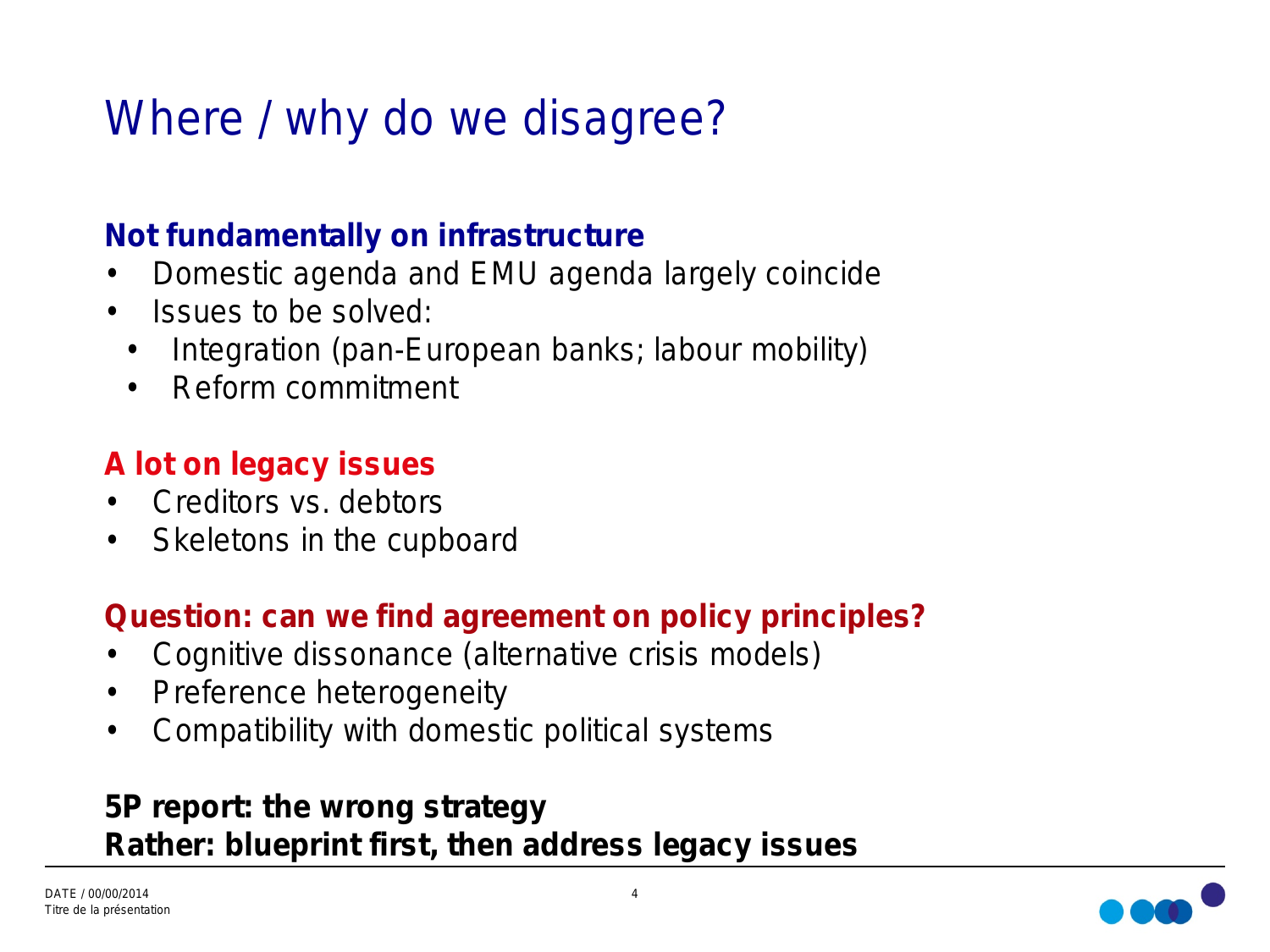# Where / why do we disagree?

#### **Not fundamentally on infrastructure**

- Domestic agenda and EMU agenda largely coincide
- Issues to be solved:
- Integration (pan-European banks; labour mobility)
- Reform commitment

#### **A lot on legacy issues**

- Creditors vs. debtors
- Skeletons in the cupboard

#### **Question: can we find agreement on policy principles?**

- Cognitive dissonance (alternative crisis models)
- Preference heterogeneity
- Compatibility with domestic political systems

#### **5P report: the wrong strategy Rather: blueprint first, then address legacy issues**

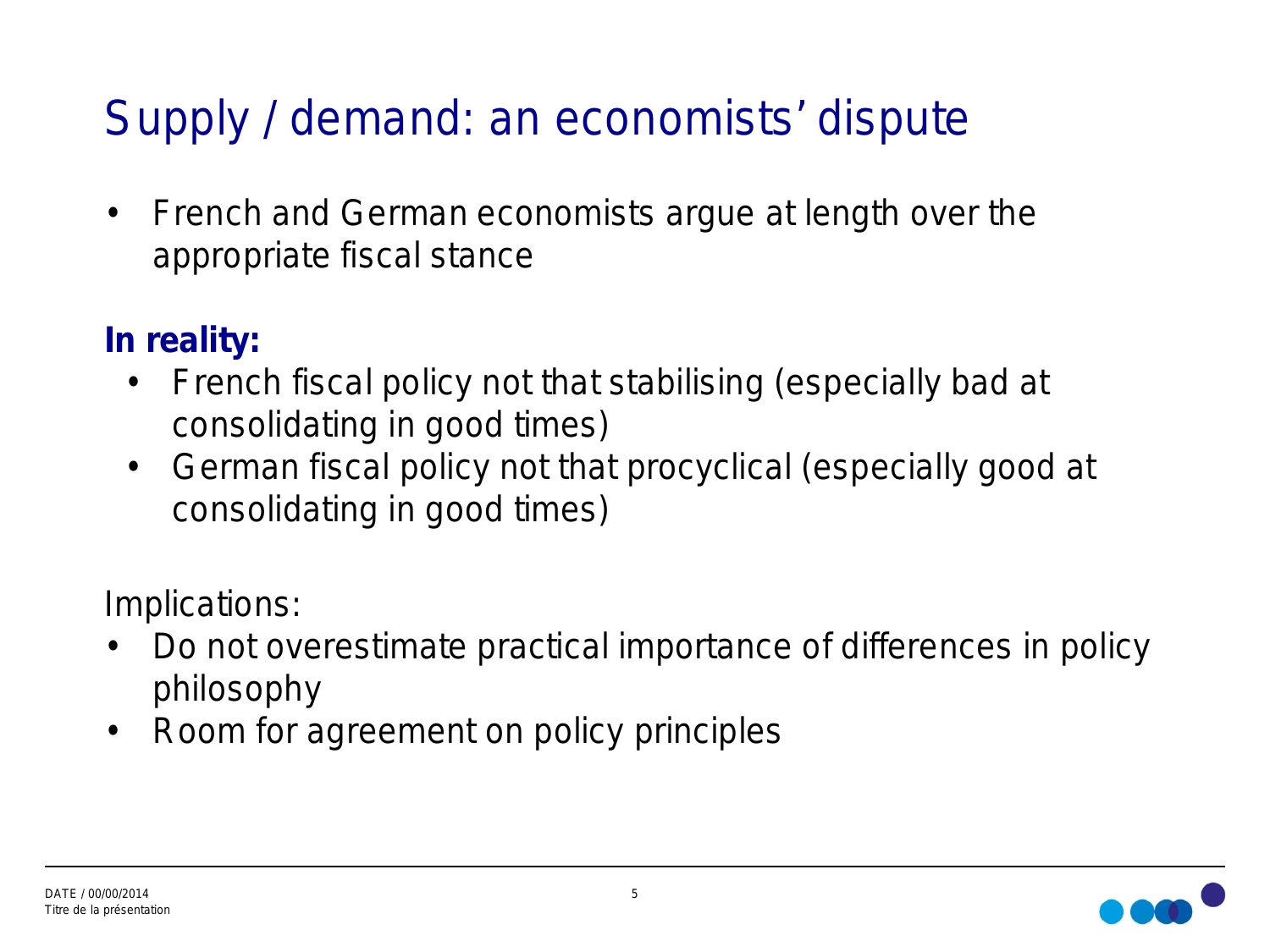# Supply / demand: an economists' dispute

• French and German economists argue at length over the appropriate fiscal stance

### **In reality:**

- French fiscal policy not that stabilising (especially bad at consolidating in good times)
- German fiscal policy not that procyclical (especially good at consolidating in good times)

Implications:

- Do not overestimate practical importance of differences in policy philosophy
- Room for agreement on policy principles

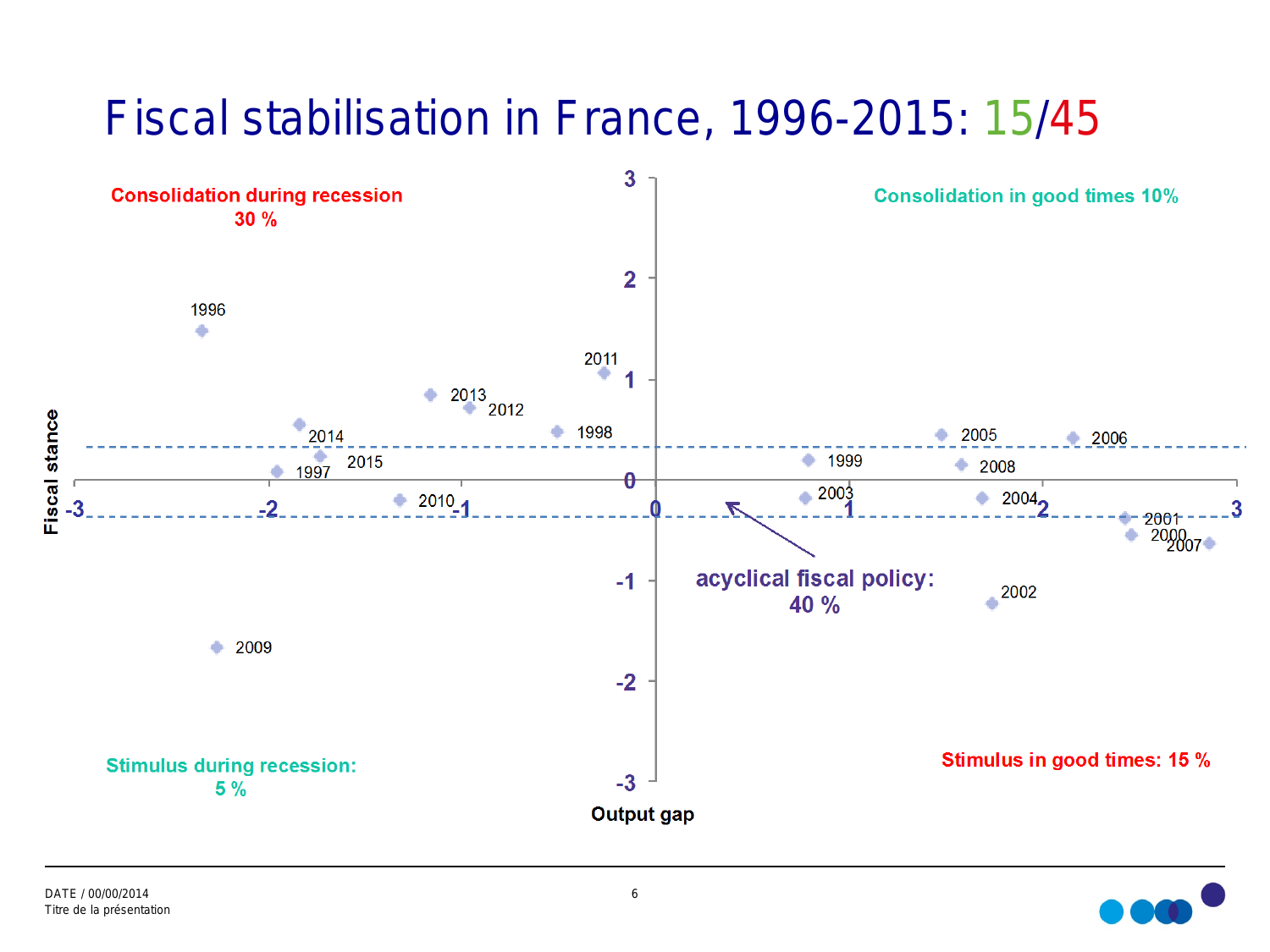# Fiscal stabilisation in France, 1996-2015: 15/45



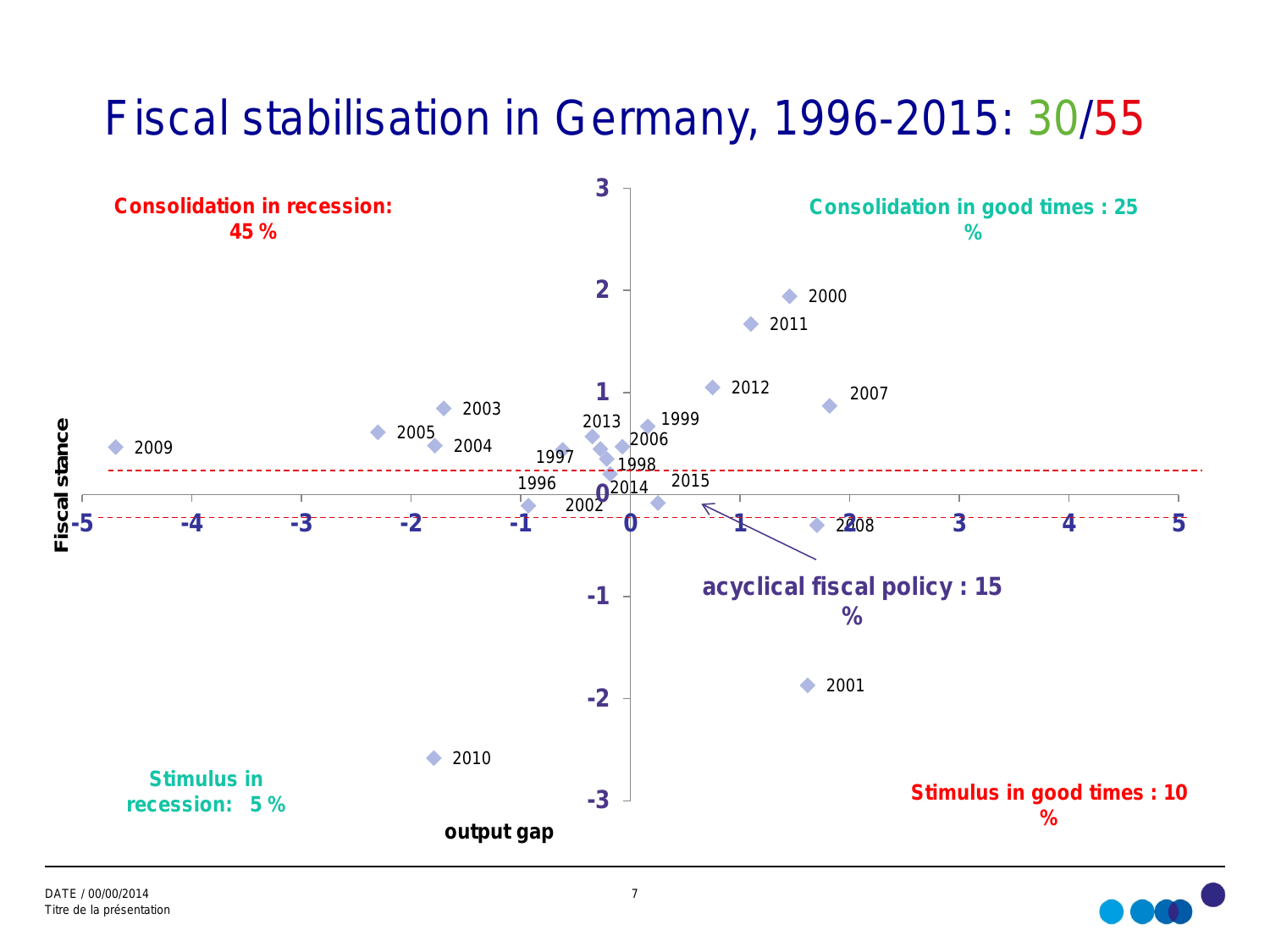# Fiscal stabilisation in Germany, 1996-2015: 30/55



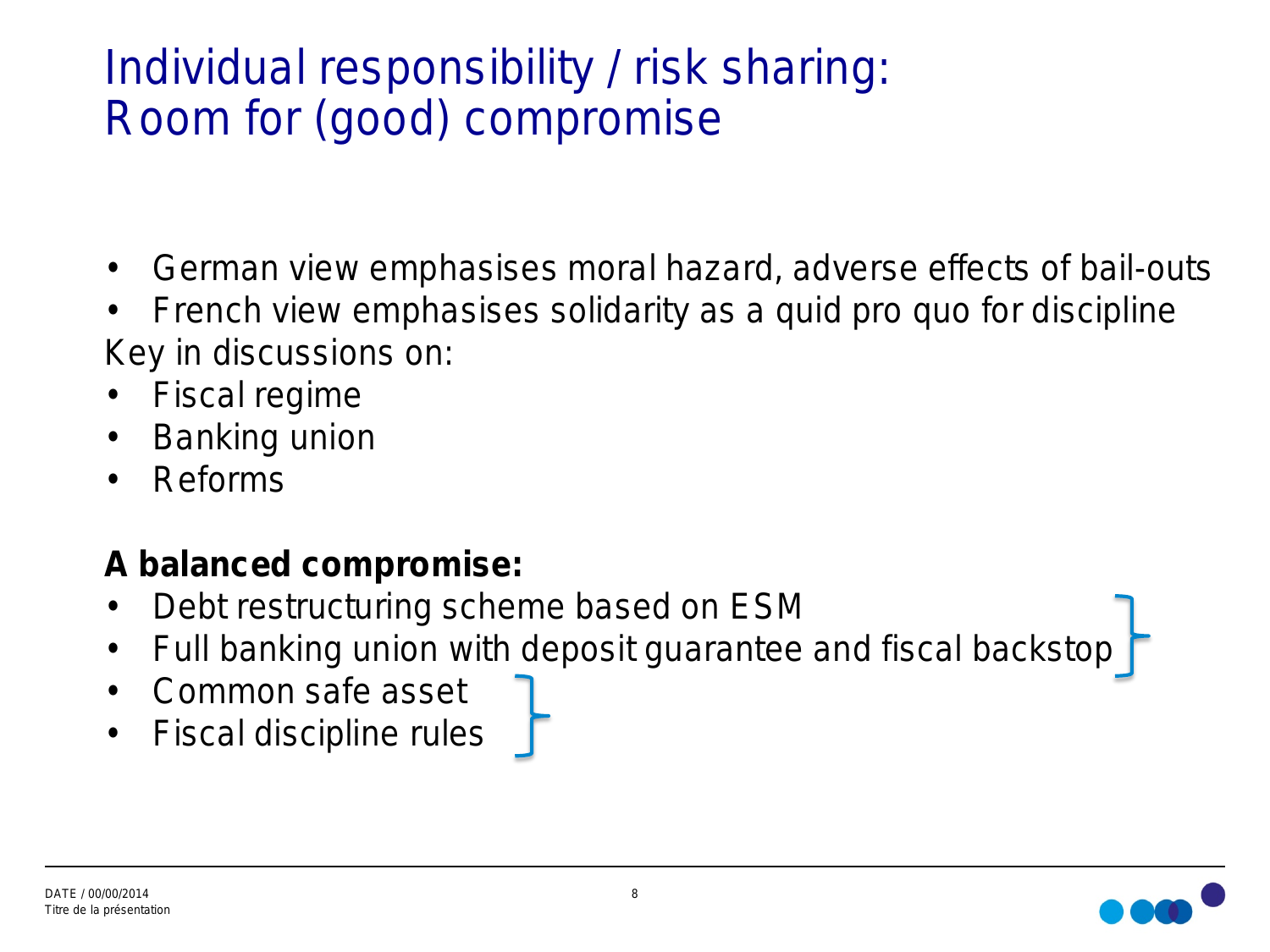# Individual responsibility / risk sharing: Room for (good) compromise

- German view emphasises moral hazard, adverse effects of bail-outs
- French view emphasises solidarity as a quid pro quo for discipline Key in discussions on:
- Fiscal regime
- Banking union
- Reforms

### **A balanced compromise:**

- Debt restructuring scheme based on ESM
- Full banking union with deposit guarantee and fiscal backstop
- Common safe asset
- Fiscal discipline rules

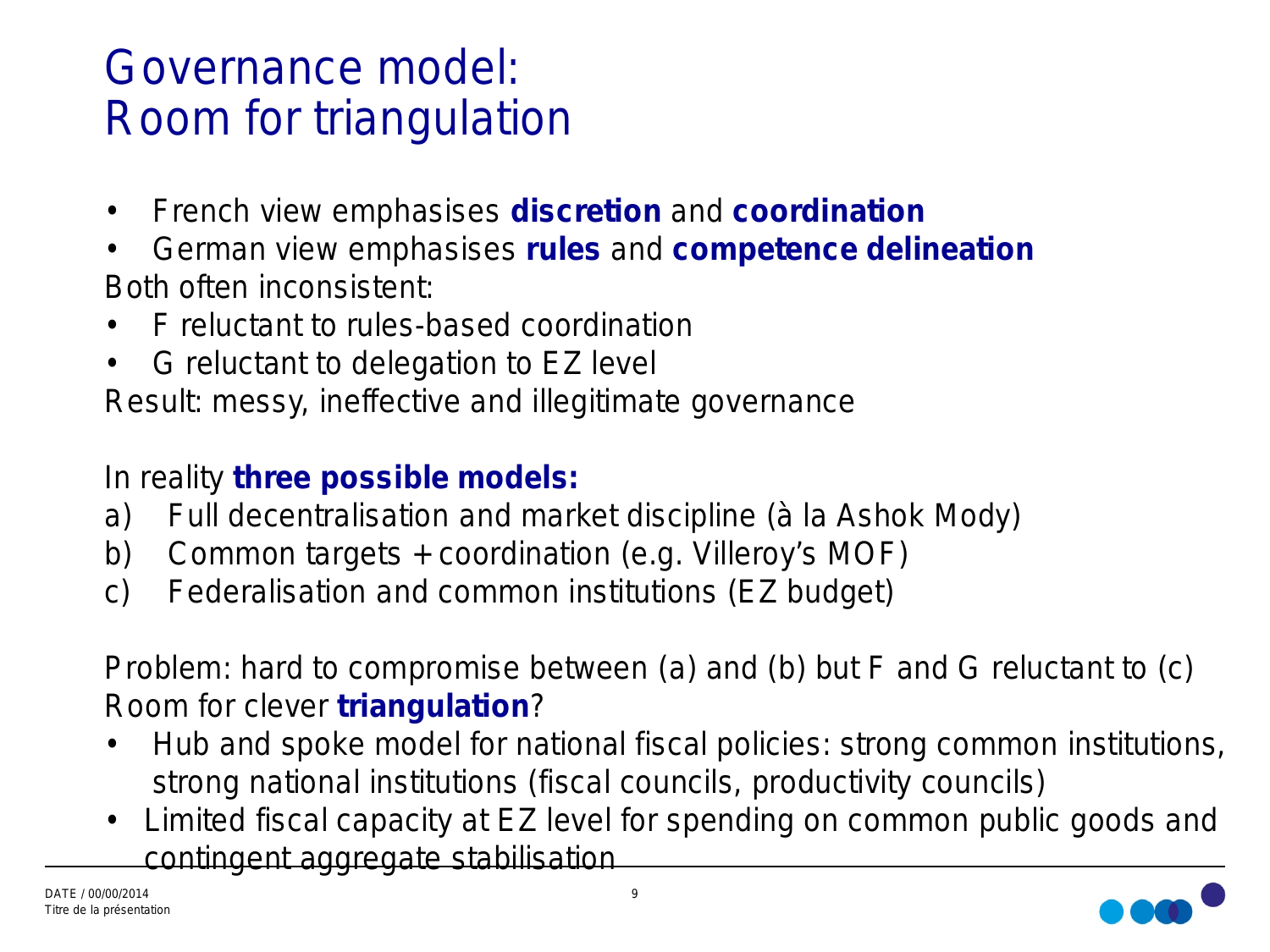# Governance model: Room for triangulation

- French view emphasises **discretion** and **coordination**
- German view emphasises **rules** and **competence delineation**  Both often inconsistent:
- F reluctant to rules-based coordination
- G reluctant to delegation to EZ level

Result: messy, ineffective and illegitimate governance

#### In reality **three possible models:**

- a) Full decentralisation and market discipline (*à la* Ashok Mody)
- b) Common targets + coordination (e.g. Villeroy's MOF)
- c) Federalisation and common institutions (EZ budget)

Problem: hard to compromise between (a) and (b) but F and G reluctant to (c) Room for clever **triangulation**?

- Hub and spoke model for national fiscal policies: strong common institutions, strong national institutions (fiscal councils, productivity councils)
- Limited fiscal capacity at EZ level for spending on common public goods and contingent aggregate stabilisation